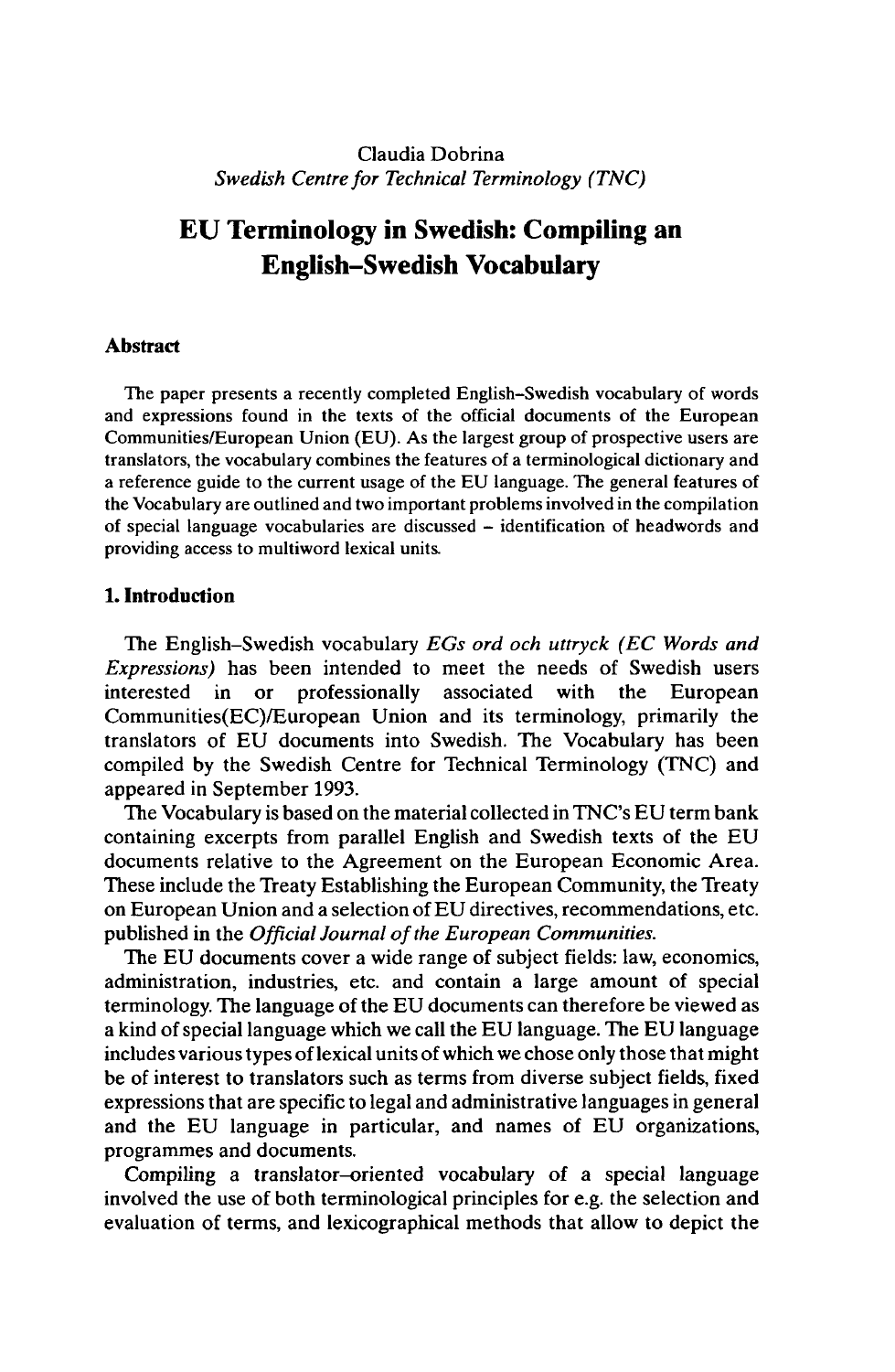Claudia Dobrina *Swedish Centre for Technical Terminology (TNC)*

# **EU Terminology in Swedish: Compiling an English-Swedish Vocabulary**

### **Abstract**

The paper presents a recently completed English-Swedish vocabulary of words and expressions found in the texts of the official documents of the European Communities/European Union (EU). As the largest group of prospective users are translators, the vocabulary combines the features of a terminological dictionary and a reference guide to the current usage of the EU language. The general features of the Vocabulary are outlined and two important problems involved in the compilation of special language vocabularies are discussed - identification of headwords and providing access to multiword lexical units.

### **1. Introduction**

The English-Swedish vocabulary *EGs ord och uttryck (EC Words and Expressions)* has been intended to meet the needs of Swedish users interested in or professionally associated with the European Communities(EC)/European Union and its terminology, primarily the translators of EU documents into Swedish. The Vocabulary has been compiled by the Swedish Centre for Technical Terminology (TNC) and appeared in September 1993.

The Vocabulary is based on the material collected in TNC's EU term bank containing excerpts from parallel English and Swedish texts of the EU documents relative to the Agreement on the European Economic Area. These include the Treaty Establishing the European Community, the Treaty on European Union and a selection of EU directives, recommendations, etc. published in the *Official Journal ofthe European Communities.*

The EU documents cover a wide range of subject fields: law, economics, administration, industries, etc. and contain a large amount of special terminology. The language of the EU documents can therefore be viewed as a kind of special language which we call the EU language. The EU language includes various types of lexical units of which we chose only those that might be of interest to translators such as terms from diverse subject fields, fixed expressions that are specific to legal and administrative languages in general and the EU language in particular, and names of EU organizations, programmes and documents.

Compiling a translator-oriented vocabulary of a special language involved the use of both terminological principles for e.g. the selection and evaluation of terms, and lexicographical methods that allow to depict the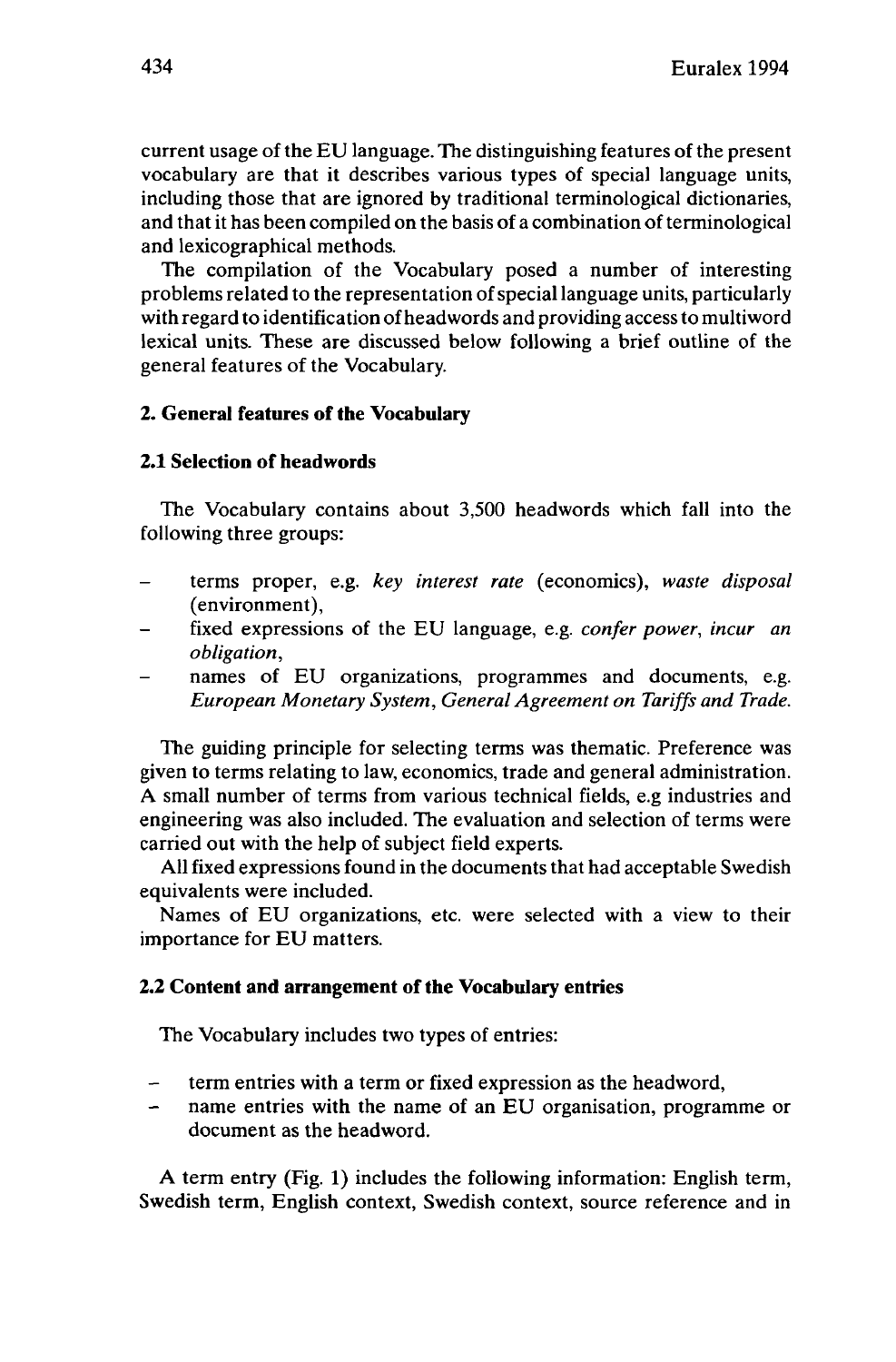current usage of the EU language. The distinguishing features of the present vocabulary are that it describes various types of special language units, including those that are ignored by traditional terminological dictionaries, and that it has been compiled on the basis of a combination of terminological and lexicographical methods.

The compilation of the Vocabulary posed a number of interesting problems related to the representation ofspeciallanguage units, particularly with regard to identification ofheadwords and providing accessto multiword lexical units. These are discussed below following a brief outline of the general features of the Vocabulary.

# **2. General features of the Vocabulary**

# **2.1 Selection of headwords**

The Vocabulary contains about 3,500 headwords which fall into the following three groups:

- terms proper, e.g. *key interest rate* (economics), *waste disposal* (environment),
- fixed expressions of the EU language, e.g. *confer power, incur an obligation,*
- names of EU organizations, programmes and documents, e.g. *European Monetary System, General Agreement on Tariffs and Trade.*

The guiding principle for selecting terms was thematic. Preference was given to terms relating to law, economics, trade and general administration. A small number of terms from various technical fields, e.g industries and engineering was also included. The evaluation and selection of terms were carried out with the help of subject field experts.

All fixed expressions found in the documents that had acceptable Swedish equivalents were included.

Names of EU organizations, etc. were selected with a view to their importance for EU matters.

### **2.2 Content and arrangement of the Vocabulary entries**

The Vocabulary includes two types of entries:

- term entries with <sup>a</sup> term or fixed expression as the headword,
- name entries with the name of an EU organisation, programme or document as the headword.

A term entry (Fig. 1) includes the following information: English term, Swedish term, English context, Swedish context, source reference and in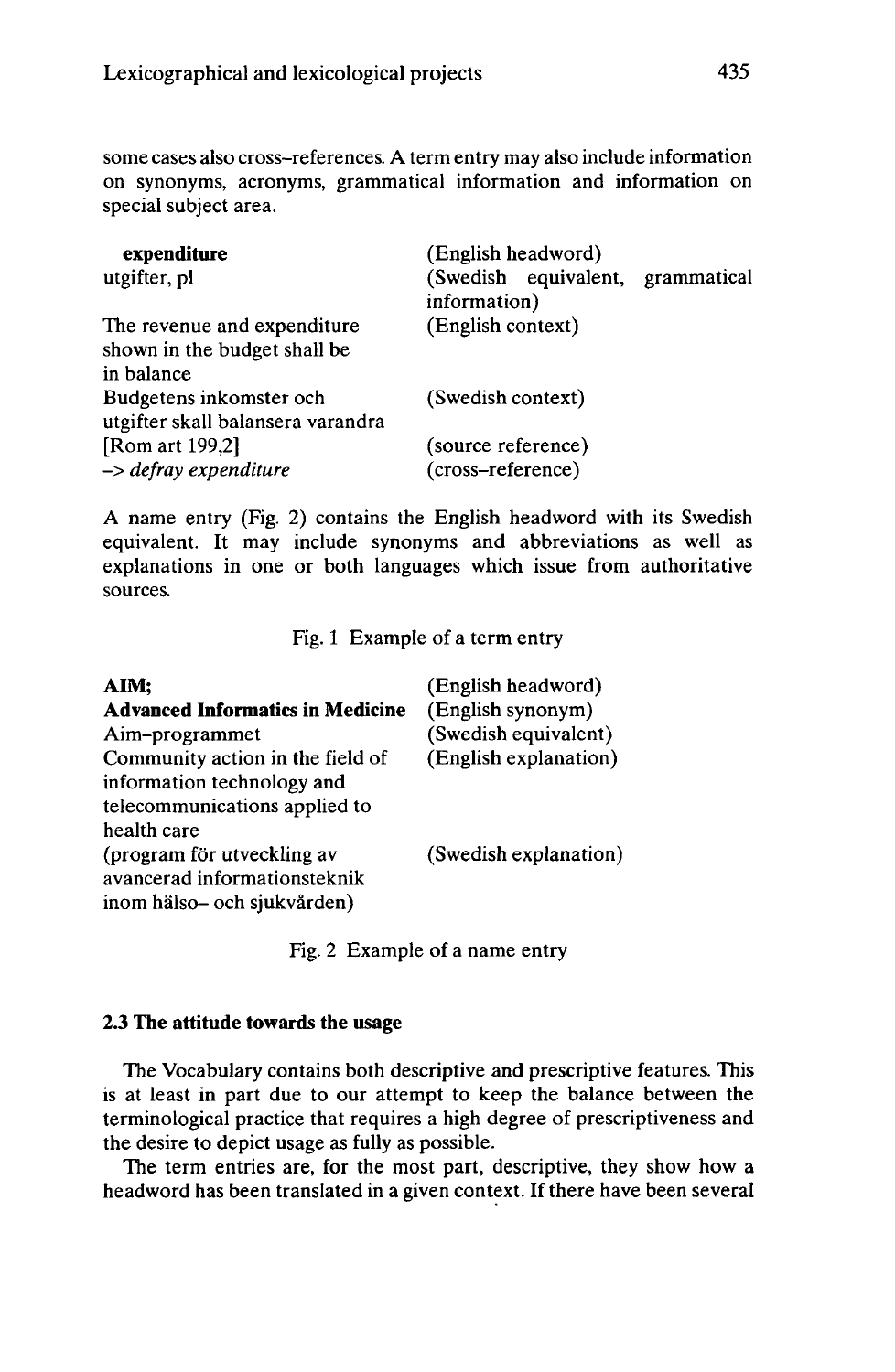some cases also cross-references. A term entry may also include information on synonyms, acronyms, grammatical information and information on special subject area.

| expenditure<br>utgifter, pl                                  | (English headword)<br>(Swedish equivalent, grammatical<br>information) |  |
|--------------------------------------------------------------|------------------------------------------------------------------------|--|
|                                                              |                                                                        |  |
| The revenue and expenditure                                  | (English context)                                                      |  |
| shown in the budget shall be                                 |                                                                        |  |
| in balance                                                   |                                                                        |  |
| Budgetens inkomster och<br>utgifter skall balansera varandra | (Swedish context)                                                      |  |
| [Rom art 199,2]                                              | (source reference)                                                     |  |
| -> defray expenditure                                        | (cross-reference)                                                      |  |

A name entry (Fig. 2) contains the English headword with its Swedish equivalent. It may include synonyms and abbreviations as well as explanations in one or both languages which issue from authoritative sources.

Fig. <sup>1</sup> Example of a term entry

| AIM;                                    | (English headword)    |
|-----------------------------------------|-----------------------|
| <b>Advanced Informatics in Medicine</b> | (English synonym)     |
| Aim-programmet                          | (Swedish equivalent)  |
| Community action in the field of        | (English explanation) |
| information technology and              |                       |
| telecommunications applied to           |                       |
| health care                             |                       |
| (program för utveckling av              | (Swedish explanation) |
| avancerad informationsteknik            |                       |
| inom hälso- och sjukvården)             |                       |
|                                         |                       |

Fig. 2 Example of a name entry

# **2.3 The attitude towards the usage**

The Vocabulary contains both descriptive and prescriptive features. This is at least in part due to our attempt to keep the balance between the terminological practice that requires a high degree of prescriptiveness and the desire to depict usage as fully as possible.

The term entries are, for the most part, descriptive, they show how a headword has been translated in a given context. If there have been several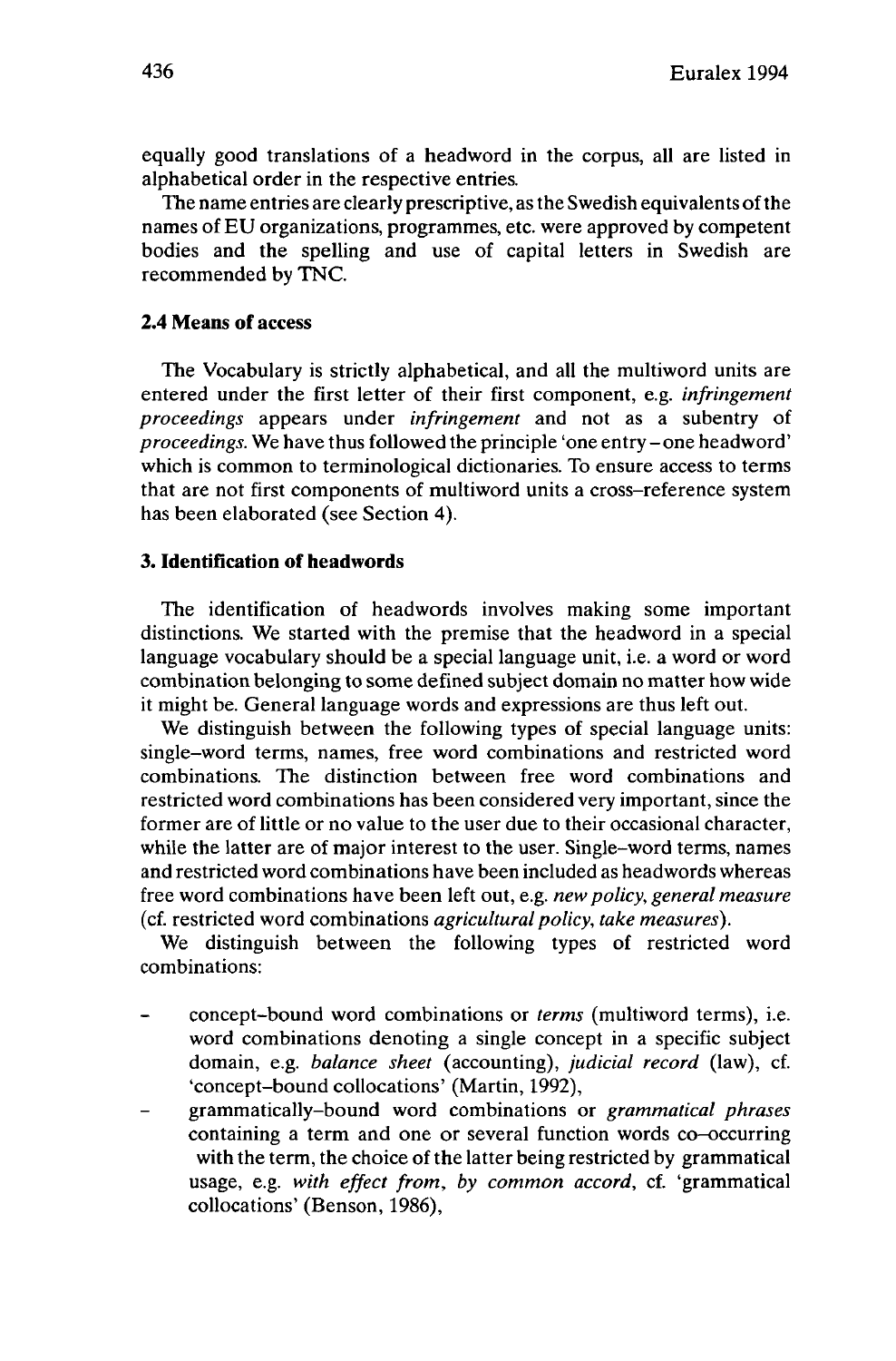equally good translations of a headword in the corpus, all are listed in alphabetical order in the respective entries.

The name entries are clearly prescriptive, asthe Swedish equivalents ofthe names of EU organizations, programmes, etc. were approved by competent bodies and the spelling and use of capital letters in Swedish are recommended by TNC.

# **2.4 Means of access**

The Vocabulary is strictly alphabetical, and all the multiword units are entered under the first letter of their first component, e.g. *infringement proceedings* appears under *infringement* and not as a subentry of *proceedings.* We have thus followed the principle 'one entry-one headword' which is common to terminological dictionaries. To ensure access to terms that are not first components of multiword units a cross-reference system has been elaborated (see Section 4).

# **3. Identification of headwords**

The identification of headwords involves making some important distinctions. We started with the premise that the headword in a special language vocabulary should be a special language unit, i.e. a word or word combination belonging to some defined subject domain no matter how wide it might be. General language words and expressions are thus left out.

We distinguish between the following types of special language units: single-word terms, names, free word combinations and restricted word combinations. The distinction between free word combinations and restricted word combinations has been considered very important, since the former are of little or no value to the user due to their occasional character, while the latter are of major interest to the user. Single-word terms, names and restricted word combinations have been included as headwords whereas free word combinations have been left out, e.g. *newpolicy, general measure* (cf. restricted word combinations *agricultural policy, take measures).*

We distinguish between the following types of restricted word combinations:

- concept-bound word combinations or *terms* (multiword terms), i.e. word combinations denoting a single concept in a specific subject domain, e.g. *balance sheet* (accounting), *judicial record* (law), cf. 'concept-bound collocations' (Martin, 1992),
- grammatically-bound word combinations or *grammatical phrases* containing a term and one or several function words co-occurring with the term, the choice of the latter being restricted by grammatical usage, e.g. *with effect from, by common accord,* cf. 'grammatical collocations' (Benson, 1986),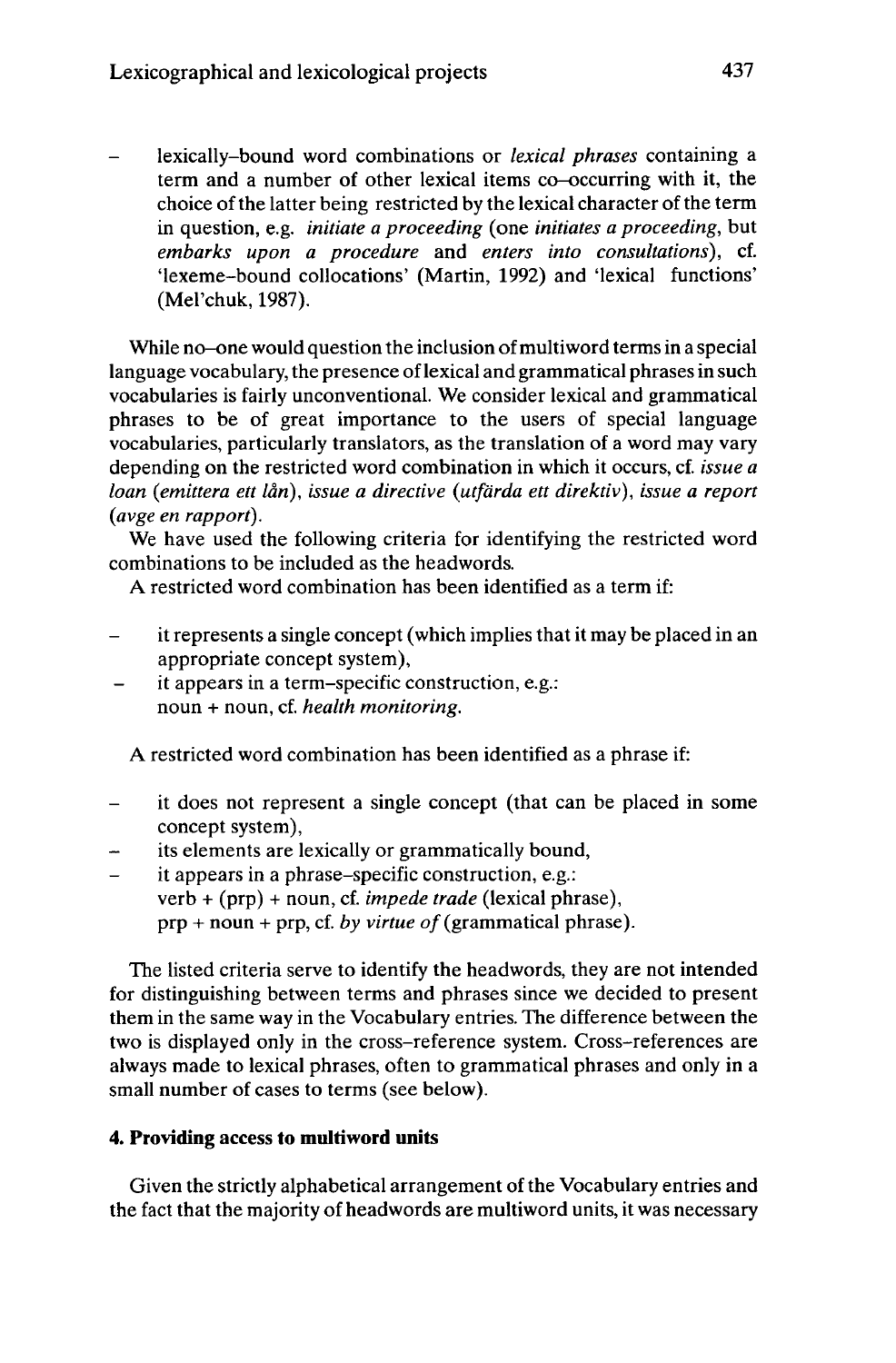- lexically-bound word combinations or *lexical phrases* containing <sup>a</sup> term and a number of other lexical items co-occurring with it, the choice of the latter being restricted by the lexical character of the term in question, e.g. *initiate a proceeding* (one *initiates a proceeding,* but *embarks upon a procedure* and *enters into consultations),* cf. 'lexeme-bound collocations' (Martin, 1992) and 'lexical functions' (Mel'chuk, 1987).

While no-one would question the inclusion of multiword terms in a special language vocabulary, the presence oflexical and grammatical phrasesin such vocabularies is fairly unconventional. We consider lexical and grammatical phrases to be of great importance to the users of special language vocabularies, particularly translators, as the translation of a word may vary depending on the restricted word combination in which it occurs, cf. *issue a loan (emittera ett lân), issue a directive (utfärda ett direktiv), issue a report (avge en rapport).*

We have used the following criteria for identifying the restricted word combinations to be included as the headwords.

A restricted word combination has been identified as a term if:

- it represents a single concept (which implies that it may be placed in an  $\overline{\phantom{0}}$ appropriate concept system),
- it appears in a term-specific construction, e.g.:  $\overline{\phantom{0}}$ noun + noun, cf. *health monitoring.*

A restricted word combination has been identified as a phrase if:

- it does not represent <sup>a</sup> single concept (that can be placed in some concept system),
- its elements are lexically or grammatically bound,
- it appears in a phrase-specific construction, e.g.:  $\equiv$ verb + (prp) + noun, cf. *impede trade* (lexical phrase), prp + noun + prp, cf. *by virtue of*(grammatical phrase).

The listed criteria serve to identify the headwords, they are not intended for distinguishing between terms and phrases since we decided to present them in the same way in the Vocabulary entries. The difference between the two is displayed only in the cross-reference system. Cross-references are always made to lexical phrases, often to grammatical phrases and only in a small number of cases to terms (see below).

# **4. Providing** access **to multiword units**

Given the strictly alphabetical arrangement of the Vocabulary entries and the fact that the majority of headwords are multiword units, it was necessary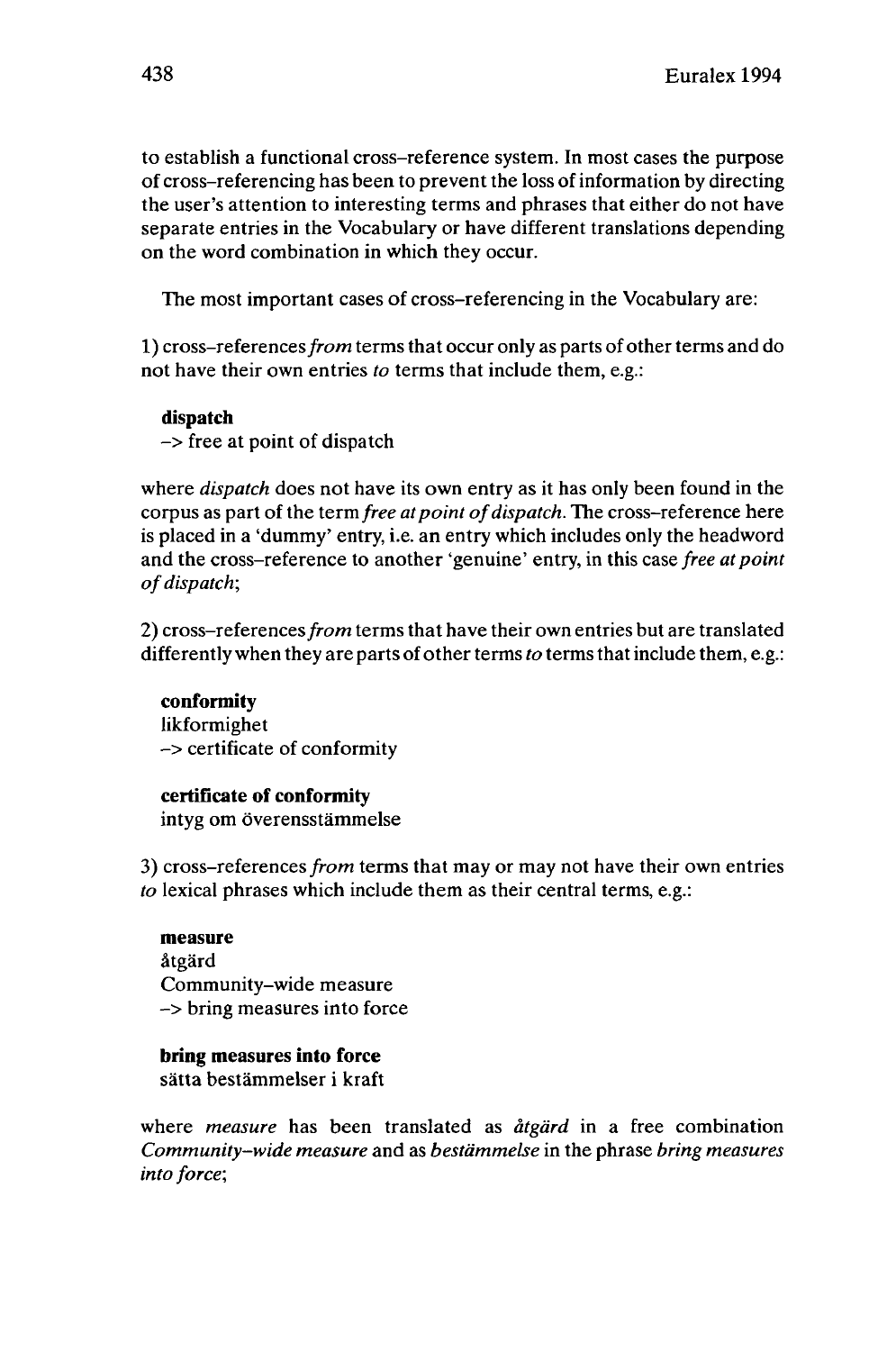to establish a functional cross-reference system. In most cases the purpose of cross-referencing has been to prevent the loss of information by directing the user's attention to interesting terms and phrases that either do not have separate entries in the Vocabulary or have different translations depending on the word combination in which they occur.

The most important cases of cross-referencing in the Vocabulary are:

1) cross-references from terms that occur only as parts of other terms and do not have their own entries *to* terms that include them, e.g.:

### **dispatch**

-> free at point of dispatch

where *dispatch* does not have its own entry as it has only been found in the corpus as part of the term *free at point of dispatch*. The cross-reference here is placed in a 'dummy' entry, i.e. an entry which includes only the headword and the cross-reference to another 'genuine' entry, in this case *free at point ofdispatch;*

2) cross-references*from* terms that have their own entries but are translated differently when they are parts of other terms to terms that include them, e.g.:

### **conformity**

likformighet -> certificate of conformity

### **certificate of conformity**

intyg om överensstämmelse

3) cross-references*from* terms that may or may not have their own entries *to* lexical phrases which include them as their central terms, e.g.:

**measure** atgärd Community-wide measure -> bring measures into force

### **bring measures into force**

sätta bestämmelser i kraft

where *measure* has been translated as *atgärd* in a free combination *Community-wide measure* and as *bestämmelse* in the phrase *bring measures into force;*